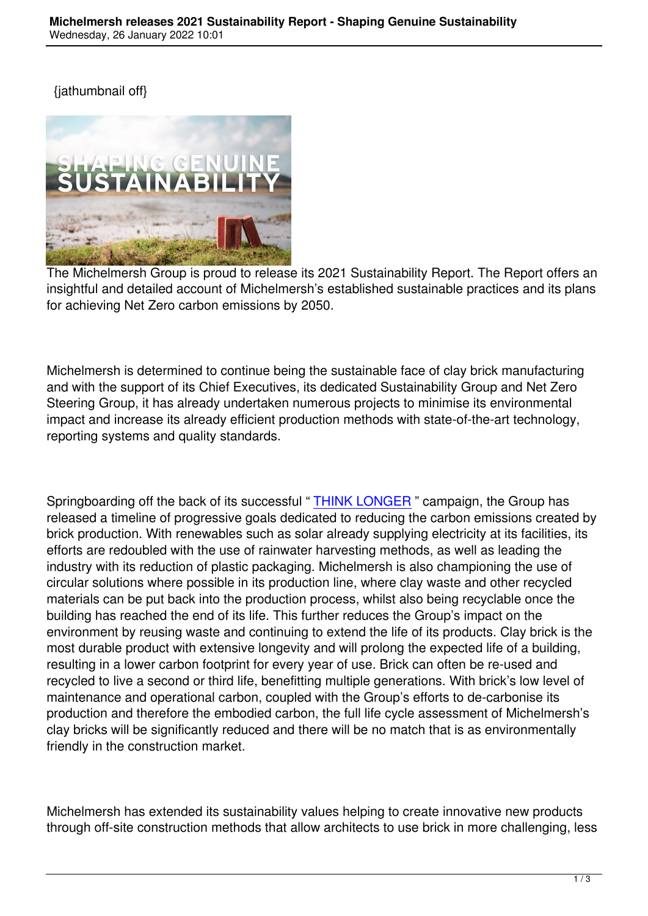

The Michelmersh Group is proud to release its 2021 Sustainability Report. The Report offers an insightful and detailed account of Michelmersh's established sustainable practices and its plans for achieving Net Zero carbon emissions by 2050.

Michelmersh is determined to continue being the sustainable face of clay brick manufacturing and with the support of its Chief Executives, its dedicated Sustainability Group and Net Zero Steering Group, it has already undertaken numerous projects to minimise its environmental impact and increase its already efficient production methods with state-of-the-art technology, reporting systems and quality standards.

Springboarding off the back of its successful "THINK LONGER" campaign, the Group has released a timeline of progressive goals dedicated to reducing the carbon emissions created by brick production. With renewables such as solar already supplying electricity at its facilities, its efforts are redoubled with the use of rainwater [harvesting metho](https://www.mbhplc.co.uk/think-longer)ds, as well as leading the industry with its reduction of plastic packaging. Michelmersh is also championing the use of circular solutions where possible in its production line, where clay waste and other recycled materials can be put back into the production process, whilst also being recyclable once the building has reached the end of its life. This further reduces the Group's impact on the environment by reusing waste and continuing to extend the life of its products. Clay brick is the most durable product with extensive longevity and will prolong the expected life of a building, resulting in a lower carbon footprint for every year of use. Brick can often be re-used and recycled to live a second or third life, benefitting multiple generations. With brick's low level of maintenance and operational carbon, coupled with the Group's efforts to de-carbonise its production and therefore the embodied carbon, the full life cycle assessment of Michelmersh's clay bricks will be significantly reduced and there will be no match that is as environmentally friendly in the construction market.

Michelmersh has extended its sustainability values helping to create innovative new products through off-site construction methods that allow architects to use brick in more challenging, less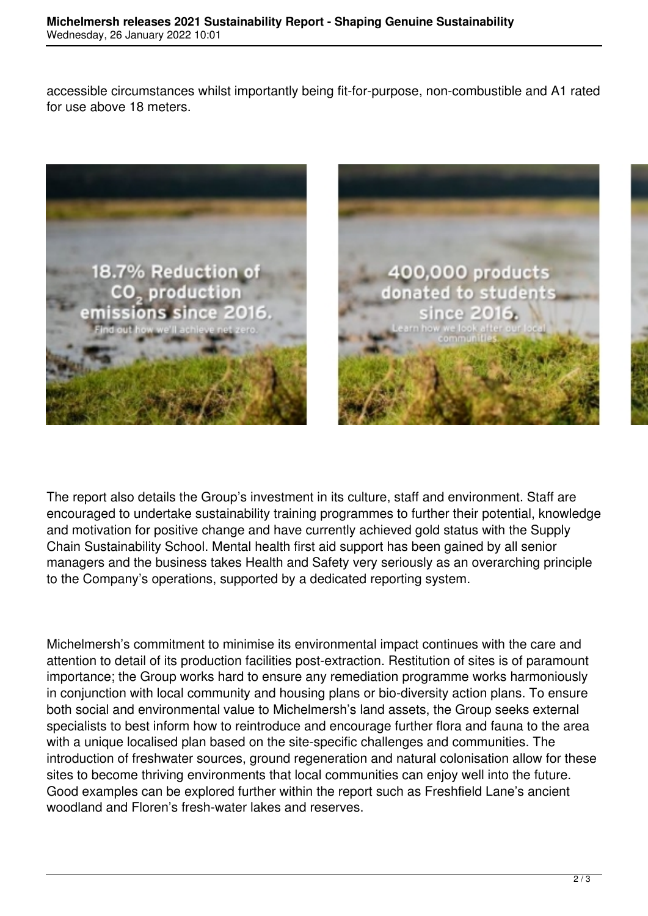accessible circumstances whilst importantly being fit-for-purpose, non-combustible and A1 rated for use above 18 meters.



The report also details the Group's investment in its culture, staff and environment. Staff are encouraged to undertake sustainability training programmes to further their potential, knowledge and motivation for positive change and have currently achieved gold status with the Supply Chain Sustainability School. Mental health first aid support has been gained by all senior managers and the business takes Health and Safety very seriously as an overarching principle to the Company's operations, supported by a dedicated reporting system.

Michelmersh's commitment to minimise its environmental impact continues with the care and attention to detail of its production facilities post-extraction. Restitution of sites is of paramount importance; the Group works hard to ensure any remediation programme works harmoniously in conjunction with local community and housing plans or bio-diversity action plans. To ensure both social and environmental value to Michelmersh's land assets, the Group seeks external specialists to best inform how to reintroduce and encourage further flora and fauna to the area with a unique localised plan based on the site-specific challenges and communities. The introduction of freshwater sources, ground regeneration and natural colonisation allow for these sites to become thriving environments that local communities can enjoy well into the future. Good examples can be explored further within the report such as Freshfield Lane's ancient woodland and Floren's fresh-water lakes and reserves.